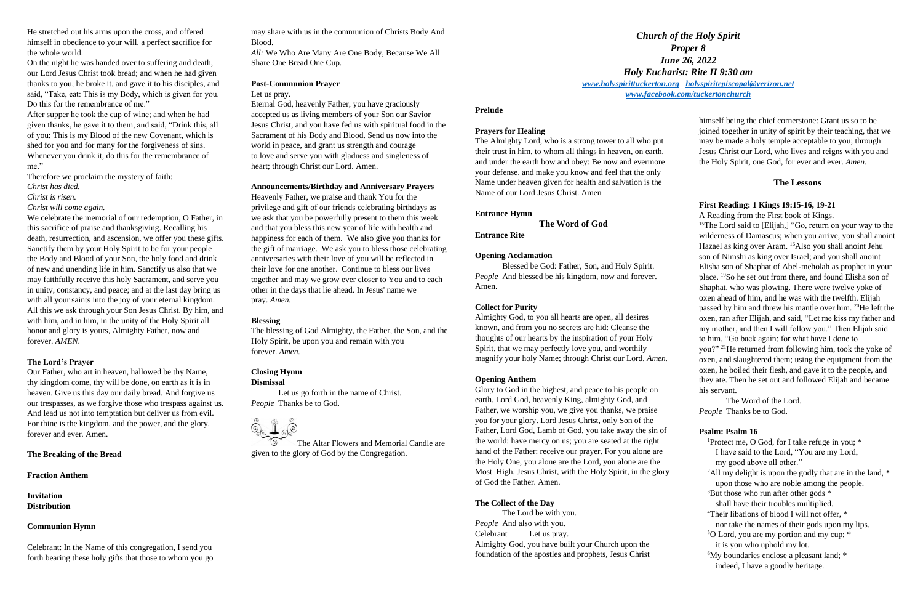He stretched out his arms upon the cross, and offered himself in obedience to your will, a perfect sacrifice for the whole world.

On the night he was handed over to suffering and death, our Lord Jesus Christ took bread; and when he had given thanks to you, he broke it, and gave it to his disciples, and said, "Take, eat: This is my Body, which is given for you. Do this for the remembrance of me."

After supper he took the cup of wine; and when he had given thanks, he gave it to them, and said, "Drink this, all of you: This is my Blood of the new Covenant, which is shed for you and for many for the forgiveness of sins. Whenever you drink it, do this for the remembrance of me."

Therefore we proclaim the mystery of faith:

*Christ has died.*

*Christ is risen.*

*Christ will come again.*

We celebrate the memorial of our redemption, O Father, in this sacrifice of praise and thanksgiving. Recalling his death, resurrection, and ascension, we offer you these gifts. Sanctify them by your Holy Spirit to be for your people the Body and Blood of your Son, the holy food and drink of new and unending life in him. Sanctify us also that we may faithfully receive this holy Sacrament, and serve you in unity, constancy, and peace; and at the last day bring us with all your saints into the joy of your eternal kingdom. All this we ask through your Son Jesus Christ. By him, and with him, and in him, in the unity of the Holy Spirit all honor and glory is yours, Almighty Father, now and forever. *AMEN*.

# **The Lord's Prayer**

Our Father, who art in heaven, hallowed be thy Name, thy kingdom come, thy will be done, on earth as it is in heaven. Give us this day our daily bread. And forgive us our trespasses, as we forgive those who trespass against us. And lead us not into temptation but deliver us from evil. For thine is the kingdom, and the power, and the glory, forever and ever. Amen.

# **The Breaking of the Bread**

**Fraction Anthem**

**Invitation Distribution**

# **Communion Hymn**

Celebrant: In the Name of this congregation, I send you forth bearing these holy gifts that those to whom you go may share with us in the communion of Christs Body And Blood.

*All:* We Who Are Many Are One Body, Because We All Share One Bread One Cup.

# **Post-Communion Prayer**

Let us pray.

Eternal God, heavenly Father, you have graciously accepted us as living members of your Son our Savior Jesus Christ, and you have fed us with spiritual food in the Sacrament of his Body and Blood. Send us now into the world in peace, and grant us strength and courage to love and serve you with gladness and singleness of heart; through Christ our Lord. Amen.

## **Announcements/Birthday and Anniversary Prayers**

Heavenly Father, we praise and thank You for the privilege and gift of our friends celebrating birthdays as we ask that you be powerfully present to them this week and that you bless this new year of life with health and happiness for each of them. We also give you thanks for the gift of marriage. We ask you to bless those celebrating anniversaries with their love of you will be reflected in their love for one another. Continue to bless our lives together and may we grow ever closer to You and to each other in the days that lie ahead. In Jesus' name we pray. *Amen.*

<sup>15</sup>The Lord said to [Elijah,] "Go, return on your way to the wilderness of Damascus; when you arrive, you shall anoint Hazael as king over Aram. <sup>16</sup>Also you shall anoint Jehu son of Nimshi as king over Israel; and you shall anoint Elisha son of Shaphat of Abel-meholah as prophet in your place. <sup>19</sup>So he set out from there, and found Elisha son of Shaphat, who was plowing. There were twelve yoke of oxen ahead of him, and he was with the twelfth. Elijah passed by him and threw his mantle over him. <sup>20</sup>He left the oxen, ran after Elijah, and said, "Let me kiss my father and my mother, and then I will follow you." Then Elijah said to him, "Go back again; for what have I done to you?" <sup>21</sup>He returned from following him, took the yoke of oxen, and slaughtered them; using the equipment from the oxen, he boiled their flesh, and gave it to the people, and they ate. Then he set out and followed Elijah and became his servant.

# **Blessing**

The blessing of God Almighty, the Father, the Son, and the Holy Spirit, be upon you and remain with you forever. *Amen.*

# **Closing Hymn Dismissal**

Let us go forth in the name of Christ. *People* Thanks be to God.



The Altar Flowers and Memorial Candle are given to the glory of God by the Congregation.

# **Prelude**

## **Prayers for Healing**

The Almighty Lord, who is a strong tower to all who put their trust in him, to whom all things in heaven, on earth, and under the earth bow and obey: Be now and evermore your defense, and make you know and feel that the only Name under heaven given for health and salvation is the Name of our Lord Jesus Christ. Amen

#### **Entrance Hymn**

**The Word of God**

**Entrance Rite**

# **Opening Acclamation**

Blessed be God: Father, Son, and Holy Spirit. *People* And blessed be his kingdom, now and forever. Amen.

# **Collect for Purity**

Almighty God, to you all hearts are open, all desires known, and from you no secrets are hid: Cleanse the thoughts of our hearts by the inspiration of your Holy Spirit, that we may perfectly love you, and worthily magnify your holy Name; through Christ our Lord. *Amen.*

# **Opening Anthem**

Glory to God in the highest, and peace to his people on earth. Lord God, heavenly King, almighty God, and Father, we worship you, we give you thanks, we praise you for your glory. Lord Jesus Christ, only Son of the Father, Lord God, Lamb of God, you take away the sin of the world: have mercy on us; you are seated at the right hand of the Father: receive our prayer. For you alone are the Holy One, you alone are the Lord, you alone are the Most High, Jesus Christ, with the Holy Spirit, in the glory of God the Father. Amen.

# **The Collect of the Day**

The Lord be with you. *People* And also with you. Celebrant Let us pray. Almighty God, you have built your Church upon the foundation of the apostles and prophets, Jesus Christ himself being the chief cornerstone: Grant us so to be joined together in unity of spirit by their teaching, that we may be made a holy temple acceptable to you; through Jesus Christ our Lord, who lives and reigns with you and the Holy Spirit, one God, for ever and ever. *Amen*.

# **The Lessons**

#### **First Reading: 1 Kings 19:15-16, 19-21**

A Reading from the First book of Kings.

The Word of the Lord. *People* Thanks be to God.

# **Psalm: Psalm 16**

<sup>1</sup>Protect me, O God, for I take refuge in you; \* I have said to the Lord, "You are my Lord, my good above all other."  $^{2}$ All my delight is upon the godly that are in the land,  $*$ upon those who are noble among the people.  $3$ But those who run after other gods  $*$ shall have their troubles multiplied. <sup>4</sup>Their libations of blood I will not offer, \* nor take the names of their gods upon my lips. <sup>5</sup>O Lord, you are my portion and my cup; \* it is you who uphold my lot. <sup>6</sup>My boundaries enclose a pleasant land; \*

indeed, I have a goodly heritage.

*Church of the Holy Spirit Proper 8 June 26, 2022 Holy Eucharist: Rite II 9:30 am [www.holyspirittuckerton.org](http://www.holyspirittuckerton.org/) [holyspiritepiscopal@verizon.net](mailto:holyspiritepiscopal@verizon.net) [www.facebook.com/tuckertonchurch](http://www.facebook.com/tuckertonchurch)*